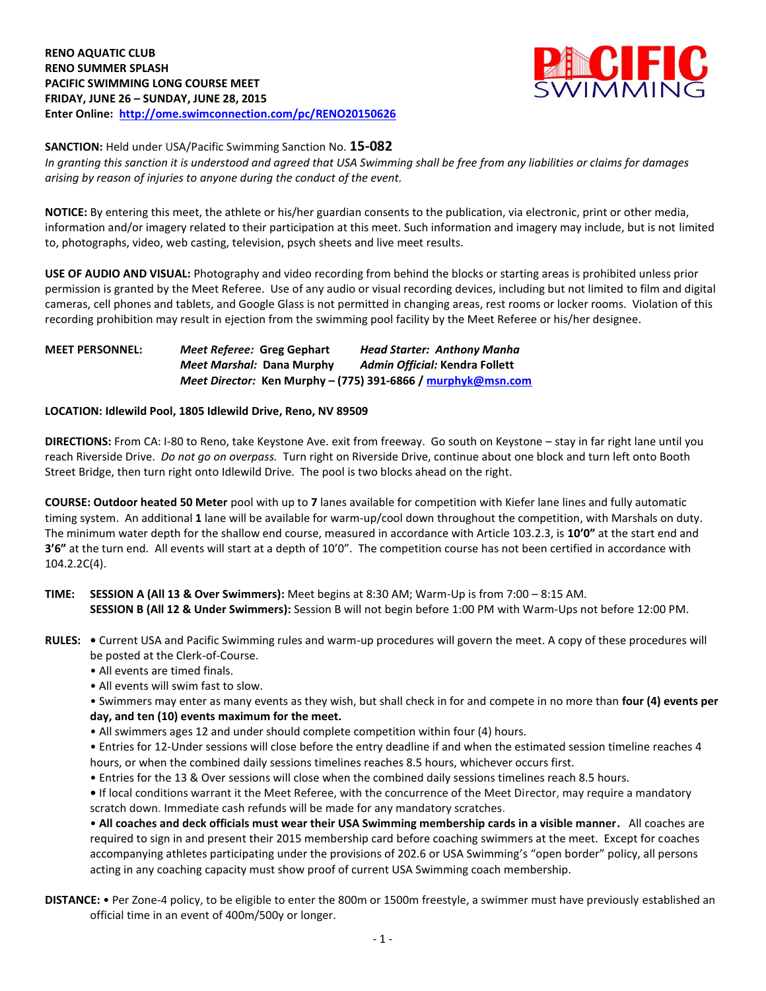

**SANCTION:** Held under USA/Pacific Swimming Sanction No. **15-082**

*In granting this sanction it is understood and agreed that USA Swimming shall be free from any liabilities or claims for damages arising by reason of injuries to anyone during the conduct of the event.*

**NOTICE:** By entering this meet, the athlete or his/her guardian consents to the publication, via electronic, print or other media, information and/or imagery related to their participation at this meet. Such information and imagery may include, but is not limited to, photographs, video, web casting, television, psych sheets and live meet results.

**USE OF AUDIO AND VISUAL:** Photography and video recording from behind the blocks or starting areas is prohibited unless prior permission is granted by the Meet Referee. Use of any audio or visual recording devices, including but not limited to film and digital cameras, cell phones and tablets, and Google Glass is not permitted in changing areas, rest rooms or locker rooms. Violation of this recording prohibition may result in ejection from the swimming pool facility by the Meet Referee or his/her designee.

## **MEET PERSONNEL:** *Meet Referee:* **Greg Gephart** *Head Starter: Anthony Manha Meet Marshal:* **Dana Murphy** *Admin Official:* **Kendra Follett** *Meet Director:* **Ken Murphy – (775) 391-6866 / [murphyk@msn.com](mailto:murphyk@msn.com)**

## **LOCATION: Idlewild Pool, 1805 Idlewild Drive, Reno, NV 89509**

**DIRECTIONS:** From CA: I-80 to Reno, take Keystone Ave. exit from freeway. Go south on Keystone – stay in far right lane until you reach Riverside Drive. *Do not go on overpass.* Turn right on Riverside Drive, continue about one block and turn left onto Booth Street Bridge, then turn right onto Idlewild Drive. The pool is two blocks ahead on the right.

**COURSE: Outdoor heated 50 Meter** pool with up to **7** lanes available for competition with Kiefer lane lines and fully automatic timing system.An additional **1** lane will be available for warm-up/cool down throughout the competition, with Marshals on duty. The minimum water depth for the shallow end course, measured in accordance with Article 103.2.3, is **10'0"** at the start end and **3'6"** at the turn end. All events will start at a depth of 10'0". The competition course has not been certified in accordance with 104.2.2C(4).

**TIME: SESSION A (All 13 & Over Swimmers):** Meet begins at 8:30 AM; Warm-Up is from 7:00 – 8:15 AM. **SESSION B (All 12 & Under Swimmers):** Session B will not begin before 1:00 PM with Warm-Ups not before 12:00 PM.

- **RULES:** Current USA and Pacific Swimming rules and warm-up procedures will govern the meet. A copy of these procedures will be posted at the Clerk-of-Course.
	- All events are timed finals.
	- All events will swim fast to slow.

• Swimmers may enter as many events as they wish, but shall check in for and compete in no more than **four (4) events per day, and ten (10) events maximum for the meet.**

- All swimmers ages 12 and under should complete competition within four (4) hours.
- Entries for 12-Under sessions will close before the entry deadline if and when the estimated session timeline reaches 4 hours, or when the combined daily sessions timelines reaches 8.5 hours, whichever occurs first.
- Entries for the 13 & Over sessions will close when the combined daily sessions timelines reach 8.5 hours.
- If local conditions warrant it the Meet Referee, with the concurrence of the Meet Director, may require a mandatory scratch down. Immediate cash refunds will be made for any mandatory scratches.

• **All coaches and deck officials must wear their USA Swimming membership cards in a visible manner.** All coaches are required to sign in and present their 2015 membership card before coaching swimmers at the meet. Except for coaches accompanying athletes participating under the provisions of 202.6 or USA Swimming's "open border" policy, all persons acting in any coaching capacity must show proof of current USA Swimming coach membership.

**DISTANCE:** • Per Zone-4 policy, to be eligible to enter the 800m or 1500m freestyle, a swimmer must have previously established an official time in an event of 400m/500y or longer.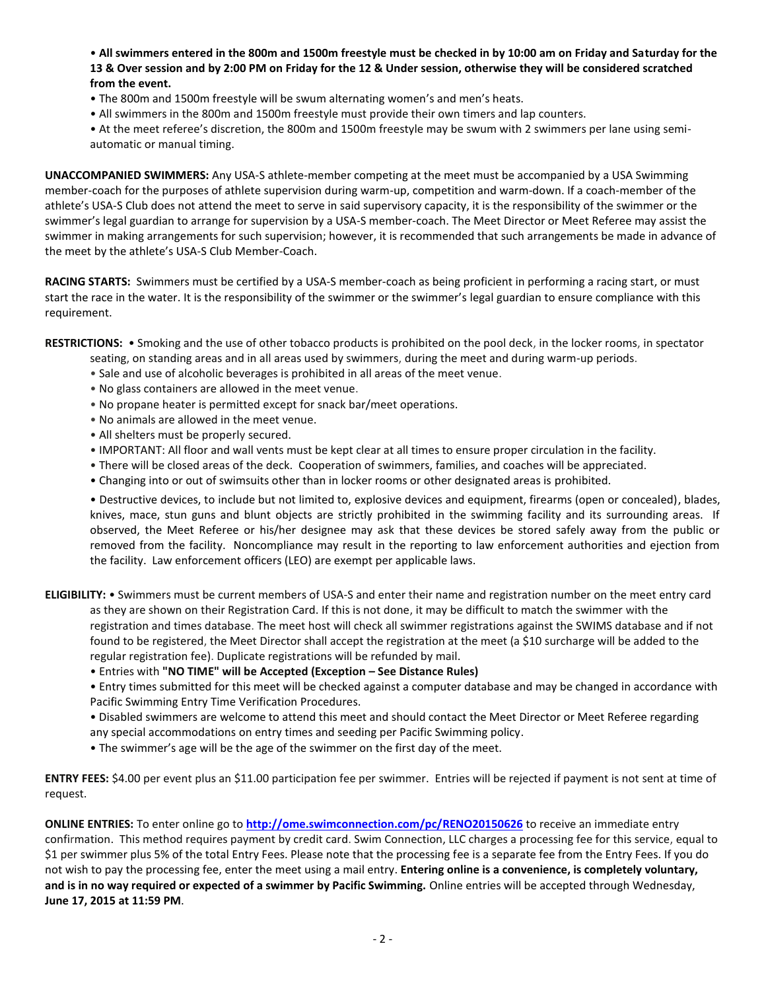• **All swimmers entered in the 800m and 1500m freestyle must be checked in by 10:00 am on Friday and Saturday for the 13 & Over session and by 2:00 PM on Friday for the 12 & Under session, otherwise they will be considered scratched from the event.**

- The 800m and 1500m freestyle will be swum alternating women's and men's heats.
- All swimmers in the 800m and 1500m freestyle must provide their own timers and lap counters.
- At the meet referee's discretion, the 800m and 1500m freestyle may be swum with 2 swimmers per lane using semiautomatic or manual timing.

**UNACCOMPANIED SWIMMERS:** Any USA-S athlete-member competing at the meet must be accompanied by a USA Swimming member-coach for the purposes of athlete supervision during warm-up, competition and warm-down. If a coach-member of the athlete's USA-S Club does not attend the meet to serve in said supervisory capacity, it is the responsibility of the swimmer or the swimmer's legal guardian to arrange for supervision by a USA-S member-coach. The Meet Director or Meet Referee may assist the swimmer in making arrangements for such supervision; however, it is recommended that such arrangements be made in advance of the meet by the athlete's USA-S Club Member-Coach.

**RACING STARTS:** Swimmers must be certified by a USA-S member-coach as being proficient in performing a racing start, or must start the race in the water. It is the responsibility of the swimmer or the swimmer's legal guardian to ensure compliance with this requirement.

**RESTRICTIONS:** • Smoking and the use of other tobacco products is prohibited on the pool deck, in the locker rooms, in spectator

- seating, on standing areas and in all areas used by swimmers, during the meet and during warm-up periods.
- Sale and use of alcoholic beverages is prohibited in all areas of the meet venue.
- No glass containers are allowed in the meet venue.
- No propane heater is permitted except for snack bar/meet operations.
- No animals are allowed in the meet venue.
- All shelters must be properly secured.
- IMPORTANT: All floor and wall vents must be kept clear at all times to ensure proper circulation in the facility.
- There will be closed areas of the deck. Cooperation of swimmers, families, and coaches will be appreciated.
- Changing into or out of swimsuits other than in locker rooms or other designated areas is prohibited.

• Destructive devices, to include but not limited to, explosive devices and equipment, firearms (open or concealed), blades, knives, mace, stun guns and blunt objects are strictly prohibited in the swimming facility and its surrounding areas. If observed, the Meet Referee or his/her designee may ask that these devices be stored safely away from the public or removed from the facility. Noncompliance may result in the reporting to law enforcement authorities and ejection from the facility. Law enforcement officers (LEO) are exempt per applicable laws.

**ELIGIBILITY:** • Swimmers must be current members of USA-S and enter their name and registration number on the meet entry card as they are shown on their Registration Card. If this is not done, it may be difficult to match the swimmer with the registration and times database. The meet host will check all swimmer registrations against the SWIMS database and if not found to be registered, the Meet Director shall accept the registration at the meet (a \$10 surcharge will be added to the regular registration fee). Duplicate registrations will be refunded by mail.

• Entries with **"NO TIME" will be Accepted (Exception – See Distance Rules)**

• Entry times submitted for this meet will be checked against a computer database and may be changed in accordance with Pacific Swimming Entry Time Verification Procedures.

• Disabled swimmers are welcome to attend this meet and should contact the Meet Director or Meet Referee regarding any special accommodations on entry times and seeding per Pacific Swimming policy.

• The swimmer's age will be the age of the swimmer on the first day of the meet.

**ENTRY FEES:** \$4.00 per event plus an \$11.00 participation fee per swimmer. Entries will be rejected if payment is not sent at time of request.

**ONLINE ENTRIES:** To enter online go to **<http://ome.swimconnection.com/pc/RENO20150626>** to receive an immediate entry confirmation. This method requires payment by credit card. Swim Connection, LLC charges a processing fee for this service, equal to \$1 per swimmer plus 5% of the total Entry Fees. Please note that the processing fee is a separate fee from the Entry Fees. If you do not wish to pay the processing fee, enter the meet using a mail entry. **Entering online is a convenience, is completely voluntary, and is in no way required or expected of a swimmer by Pacific Swimming.** Online entries will be accepted through Wednesday, **June 17, 2015 at 11:59 PM**.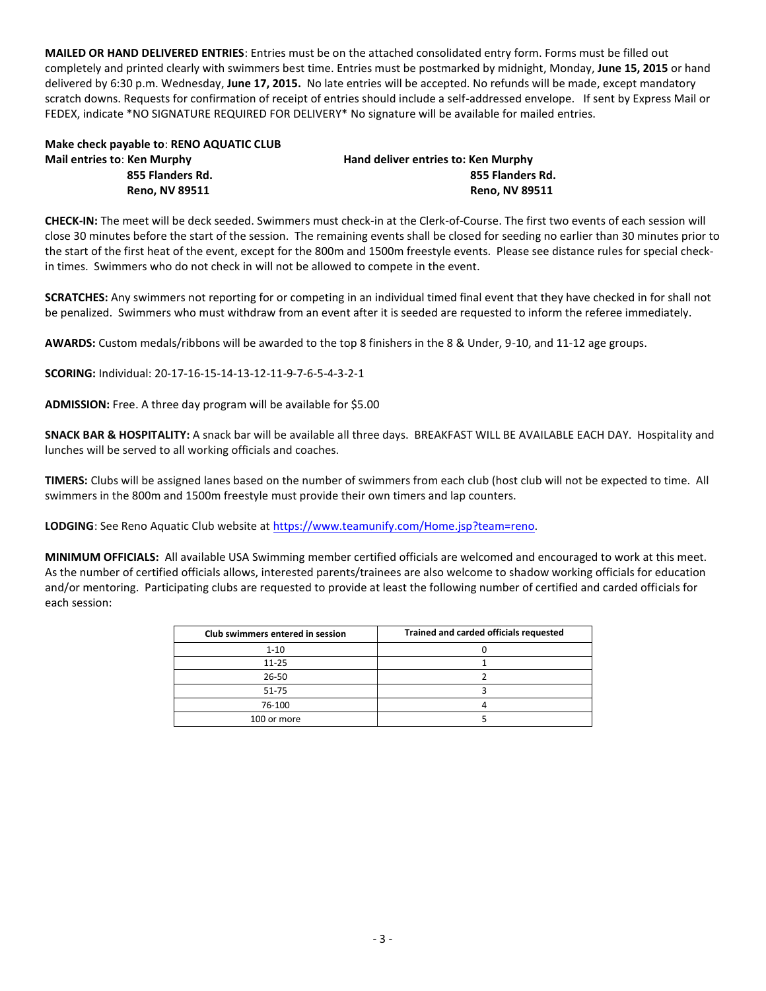**MAILED OR HAND DELIVERED ENTRIES**: Entries must be on the attached consolidated entry form. Forms must be filled out completely and printed clearly with swimmers best time. Entries must be postmarked by midnight, Monday, **June 15, 2015** or hand delivered by 6:30 p.m. Wednesday, **June 17, 2015.** No late entries will be accepted. No refunds will be made, except mandatory scratch downs. Requests for confirmation of receipt of entries should include a self-addressed envelope. If sent by Express Mail or FEDEX, indicate \*NO SIGNATURE REQUIRED FOR DELIVERY\* No signature will be available for mailed entries.

| Make check payable to: RENO AQUATIC CLUB |  |
|------------------------------------------|--|
| <b>Mail entries to: Ken Murphy</b>       |  |
| 855 Flanders Rd.                         |  |

**Mail entries to**: **Ken Murphy Hand deliver entries to: Ken Murphy 855 Flanders Rd. 855 Flanders Rd. Reno, NV 89511 Reno, NV 89511** 

**CHECK-IN:** The meet will be deck seeded. Swimmers must check-in at the Clerk-of-Course. The first two events of each session will close 30 minutes before the start of the session. The remaining events shall be closed for seeding no earlier than 30 minutes prior to the start of the first heat of the event, except for the 800m and 1500m freestyle events. Please see distance rules for special checkin times. Swimmers who do not check in will not be allowed to compete in the event.

**SCRATCHES:** Any swimmers not reporting for or competing in an individual timed final event that they have checked in for shall not be penalized. Swimmers who must withdraw from an event after it is seeded are requested to inform the referee immediately.

**AWARDS:** Custom medals/ribbons will be awarded to the top 8 finishers in the 8 & Under, 9-10, and 11-12 age groups.

**SCORING:** Individual: 20-17-16-15-14-13-12-11-9-7-6-5-4-3-2-1

**ADMISSION:** Free. A three day program will be available for \$5.00

**SNACK BAR & HOSPITALITY:** A snack bar will be available all three days. BREAKFAST WILL BE AVAILABLE EACH DAY. Hospitality and lunches will be served to all working officials and coaches.

**TIMERS:** Clubs will be assigned lanes based on the number of swimmers from each club (host club will not be expected to time. All swimmers in the 800m and 1500m freestyle must provide their own timers and lap counters.

**LODGING**: See Reno Aquatic Club website at [https://www.teamunify.com/Home.jsp?team=reno.](https://www.teamunify.com/Home.jsp?team=reno)

**MINIMUM OFFICIALS:** All available USA Swimming member certified officials are welcomed and encouraged to work at this meet. As the number of certified officials allows, interested parents/trainees are also welcome to shadow working officials for education and/or mentoring. Participating clubs are requested to provide at least the following number of certified and carded officials for each session:

| Club swimmers entered in session | Trained and carded officials requested |
|----------------------------------|----------------------------------------|
| $1 - 10$                         |                                        |
| $11 - 25$                        |                                        |
| 26-50                            |                                        |
| 51-75                            |                                        |
| 76-100                           |                                        |
| 100 or more                      |                                        |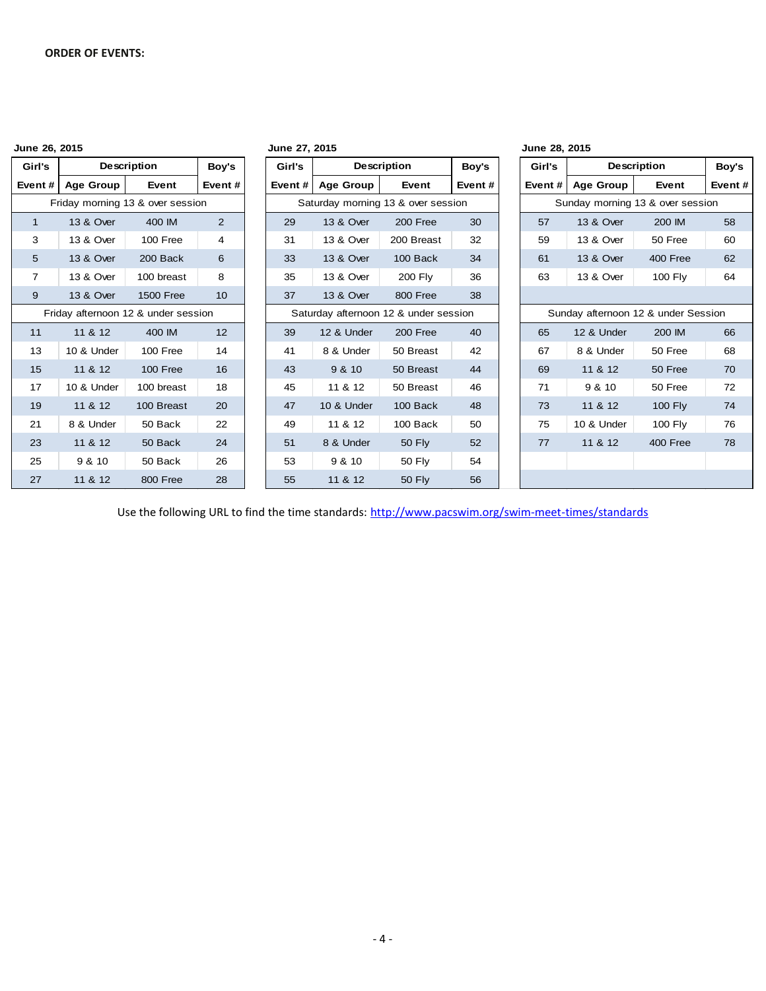| June 26, 2015  |                                     |                    |                | June 27, 2015 |                                       |                |        | June 28, 2015 |                                     |                |        |
|----------------|-------------------------------------|--------------------|----------------|---------------|---------------------------------------|----------------|--------|---------------|-------------------------------------|----------------|--------|
| Girl's         |                                     | <b>Description</b> | Boy's          | Girl's        |                                       | Description    | Boy's  | Girl's        |                                     | Description    | Boy's  |
| Event#         | <b>Age Group</b>                    | Event              | Event#         | Event#        | <b>Age Group</b>                      | Event          | Event# | Event#        | <b>Age Group</b>                    | Event          | Event# |
|                | Friday morning 13 & over session    |                    |                |               | Saturday morning 13 & over session    |                |        |               | Sunday morning 13 & over session    |                |        |
| $\mathbf{1}$   | 13 & Over                           | 400 IM             | $\overline{2}$ | 29            | 13 & Over                             | 200 Free       | 30     | 57            | 13 & Over                           | 200 IM         | 58     |
| 3              | 13 & Over                           | 100 Free           | 4              | 31            | 13 & Over                             | 200 Breast     | 32     | 59            | 13 & Over                           | 50 Free        | 60     |
| 5              | 13 & Over                           | 200 Back           | 6              | 33            | 13 & Over                             | 100 Back       | 34     | 61            | 13 & Over                           | 400 Free       | 62     |
| $\overline{7}$ | 13 & Over                           | 100 breast         | 8              | 35            | 13 & Over                             | <b>200 Fly</b> | 36     | 63            | 13 & Over                           | <b>100 Fly</b> | 64     |
| 9              | 13 & Over                           | <b>1500 Free</b>   | 10             | 37            | 13 & Over                             | 800 Free       | 38     |               |                                     |                |        |
|                | Friday afternoon 12 & under session |                    |                |               | Saturday afternoon 12 & under session |                |        |               | Sunday afternoon 12 & under Session |                |        |
| 11             | 11 & 12                             | 400 IM             | 12             | 39            | 12 & Under                            | 200 Free       | 40     | 65            | 12 & Under                          | 200 IM         | 66     |
| 13             | 10 & Under                          | 100 Free           | 14             | 41            | 8 & Under                             | 50 Breast      | 42     | 67            | 8 & Under                           | 50 Free        | 68     |
| 15             | 11 & 12                             | 100 Free           | 16             | 43            | 9 & 10                                | 50 Breast      | 44     | 69            | 11 & 12                             | 50 Free        | 70     |
| 17             | 10 & Under                          | 100 breast         | 18             | 45            | 11 & 12                               | 50 Breast      | 46     | 71            | 9 & 10                              | 50 Free        | 72     |
| 19             | 11 & 12                             | 100 Breast         | 20             | 47            | 10 & Under                            | 100 Back       | 48     | 73            | 11 & 12                             | <b>100 Fly</b> | 74     |
| 21             | 8 & Under                           | 50 Back            | 22             | 49            | 11 & 12                               | 100 Back       | 50     | 75            | 10 & Under                          | 100 Fly        | 76     |
| 23             | 11 & 12                             | 50 Back            | 24             | 51            | 8 & Under                             | <b>50 Fly</b>  | 52     | 77            | 11 & 12                             | 400 Free       | 78     |
| 25             | 9 & 10                              | 50 Back            | 26             | 53            | 9 & 10                                | 50 Fly         | 54     |               |                                     |                |        |
| 27             | 11 & 12                             | 800 Free           | 28             | 55            | 11 & 12                               | <b>50 Fly</b>  | 56     |               |                                     |                |        |

Use the following URL to find the time standards: <http://www.pacswim.org/swim-meet-times/standards>